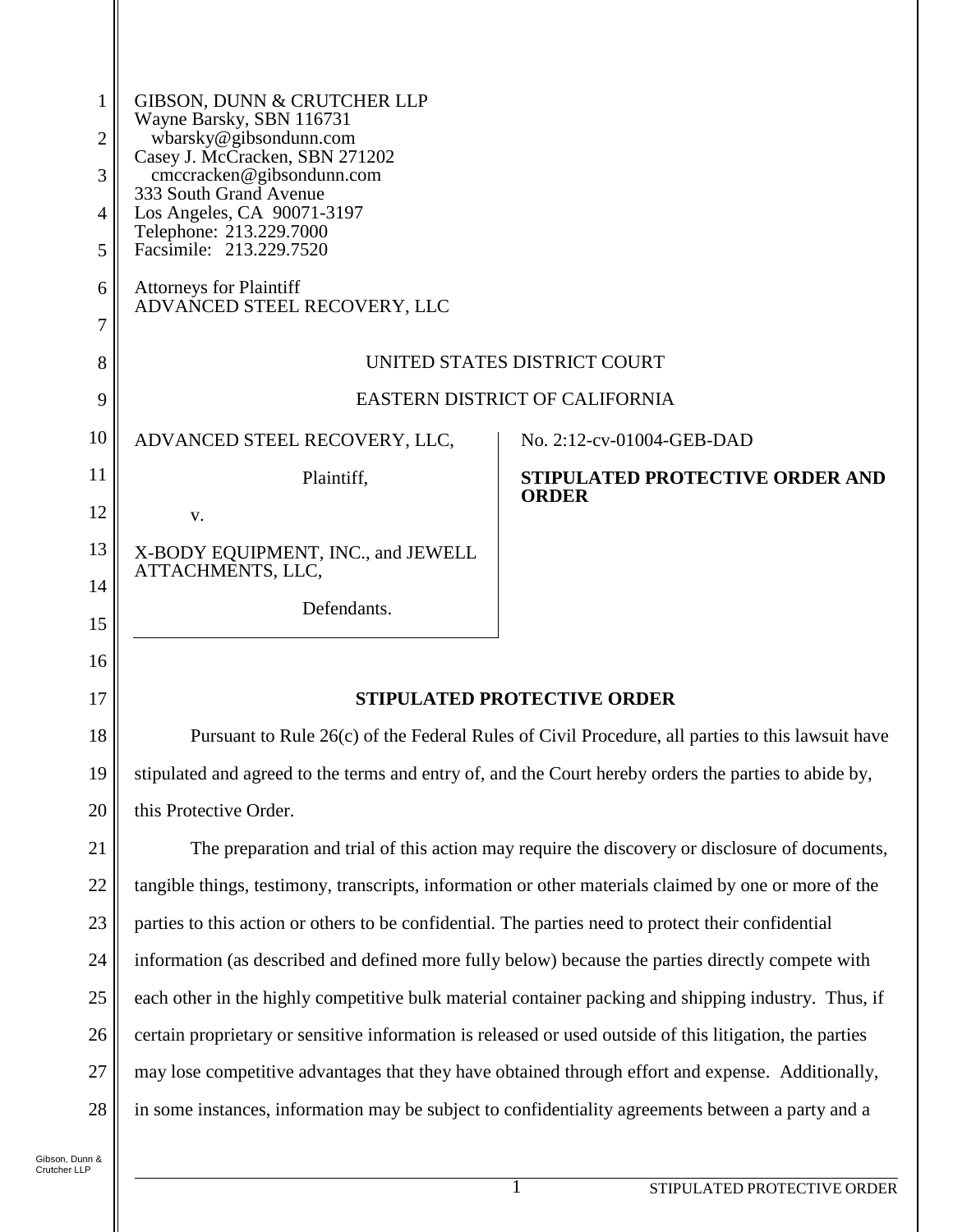| 1                                                       | GIBSON, DUNN & CRUTCHER LLP                                                                           |                                        |
|---------------------------------------------------------|-------------------------------------------------------------------------------------------------------|----------------------------------------|
| Wayne Barsky, SBN 116731<br>wbarsky@gibsondunn.com<br>2 |                                                                                                       |                                        |
| 3                                                       | Casey J. McCracken, SBN 271202<br>cmccracken@gibsondunn.com                                           |                                        |
| $\overline{4}$                                          | 333 South Grand Avenue<br>Los Angeles, CA 90071-3197                                                  |                                        |
| 5                                                       | Telephone: 213.229.7000<br>Facsimile: 213.229.7520                                                    |                                        |
| 6                                                       | <b>Attorneys for Plaintiff</b>                                                                        |                                        |
| 7                                                       | ADVANCED STEEL RECOVERY, LLC                                                                          |                                        |
| 8                                                       | UNITED STATES DISTRICT COURT                                                                          |                                        |
| 9                                                       | <b>EASTERN DISTRICT OF CALIFORNIA</b>                                                                 |                                        |
| 10                                                      | ADVANCED STEEL RECOVERY, LLC,                                                                         | No. 2:12-cv-01004-GEB-DAD              |
| 11                                                      | Plaintiff,                                                                                            | <b>STIPULATED PROTECTIVE ORDER AND</b> |
| 12                                                      | V.                                                                                                    | <b>ORDER</b>                           |
| 13                                                      | X-BODY EQUIPMENT, INC., and JEWELL                                                                    |                                        |
| 14                                                      | ATTACHMENTS, LLC,                                                                                     |                                        |
| 15                                                      | Defendants.                                                                                           |                                        |
| 16                                                      |                                                                                                       |                                        |
| 17                                                      | <b>STIPULATED PROTECTIVE ORDER</b>                                                                    |                                        |
| 18                                                      | Pursuant to Rule 26(c) of the Federal Rules of Civil Procedure, all parties to this lawsuit have      |                                        |
| 19                                                      | stipulated and agreed to the terms and entry of, and the Court hereby orders the parties to abide by, |                                        |
|                                                         |                                                                                                       |                                        |

21 22 23 24 25 26 27 28 The preparation and trial of this action may require the discovery or disclosure of documents, tangible things, testimony, transcripts, information or other materials claimed by one or more of the parties to this action or others to be confidential. The parties need to protect their confidential information (as described and defined more fully below) because the parties directly compete with each other in the highly competitive bulk material container packing and shipping industry. Thus, if certain proprietary or sensitive information is released or used outside of this litigation, the parties may lose competitive advantages that they have obtained through effort and expense. Additionally, in some instances, information may be subject to confidentiality agreements between a party and a

20

this Protective Order.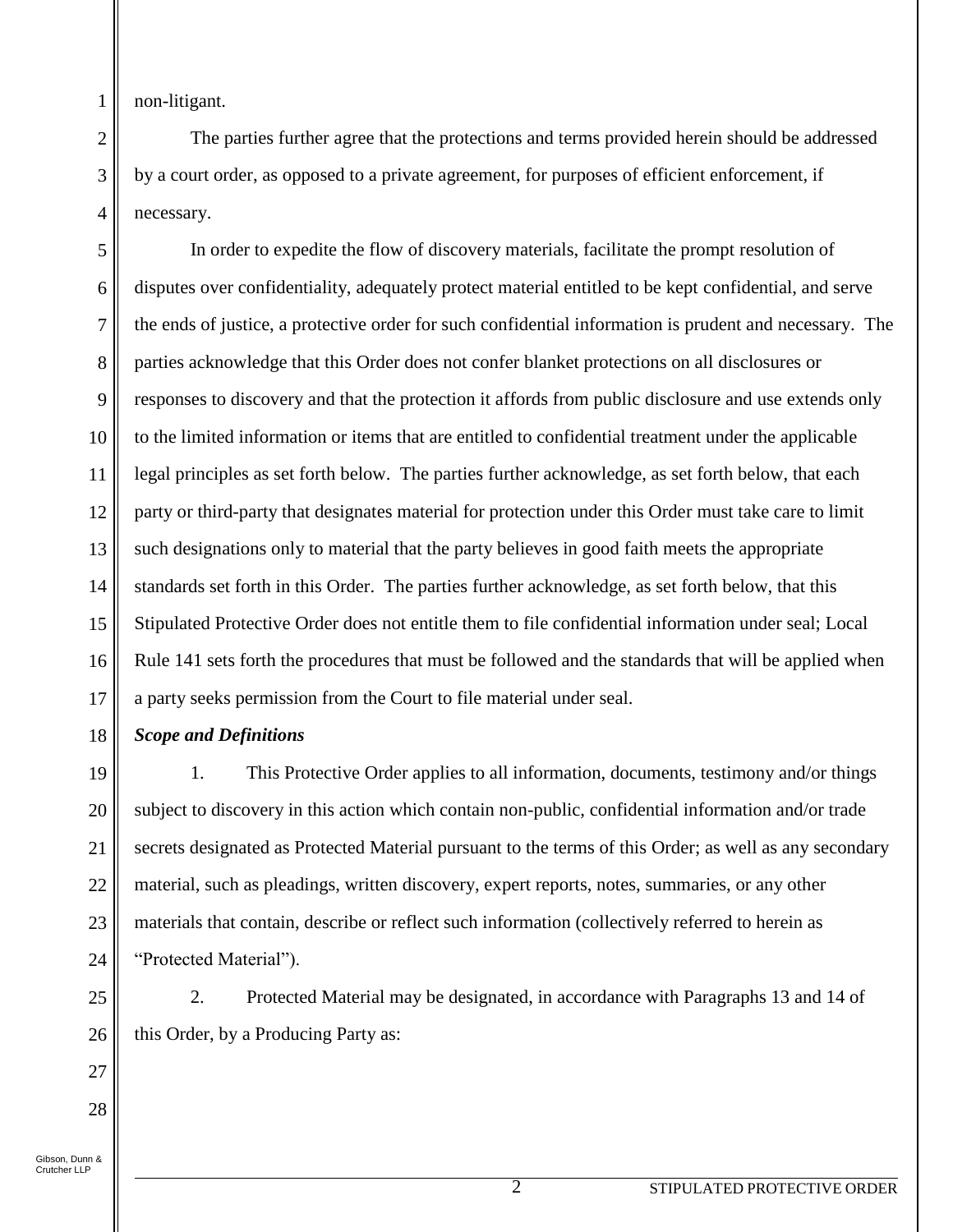non-litigant.

1

2

3

4

The parties further agree that the protections and terms provided herein should be addressed by a court order, as opposed to a private agreement, for purposes of efficient enforcement, if necessary.

5 6 7 8 9 10 11 12 13 14 15 16 17 In order to expedite the flow of discovery materials, facilitate the prompt resolution of disputes over confidentiality, adequately protect material entitled to be kept confidential, and serve the ends of justice, a protective order for such confidential information is prudent and necessary. The parties acknowledge that this Order does not confer blanket protections on all disclosures or responses to discovery and that the protection it affords from public disclosure and use extends only to the limited information or items that are entitled to confidential treatment under the applicable legal principles as set forth below. The parties further acknowledge, as set forth below, that each party or third-party that designates material for protection under this Order must take care to limit such designations only to material that the party believes in good faith meets the appropriate standards set forth in this Order. The parties further acknowledge, as set forth below, that this Stipulated Protective Order does not entitle them to file confidential information under seal; Local Rule 141 sets forth the procedures that must be followed and the standards that will be applied when a party seeks permission from the Court to file material under seal.

18 *Scope and Definitions*

19 20 21 22 23 24 1. This Protective Order applies to all information, documents, testimony and/or things subject to discovery in this action which contain non-public, confidential information and/or trade secrets designated as Protected Material pursuant to the terms of this Order; as well as any secondary material, such as pleadings, written discovery, expert reports, notes, summaries, or any other materials that contain, describe or reflect such information (collectively referred to herein as "Protected Material").

2. Protected Material may be designated, in accordance with Paragraphs 13 and 14 of this Order, by a Producing Party as:

26 27 28 Gibson, Dunn & Crutcher LLP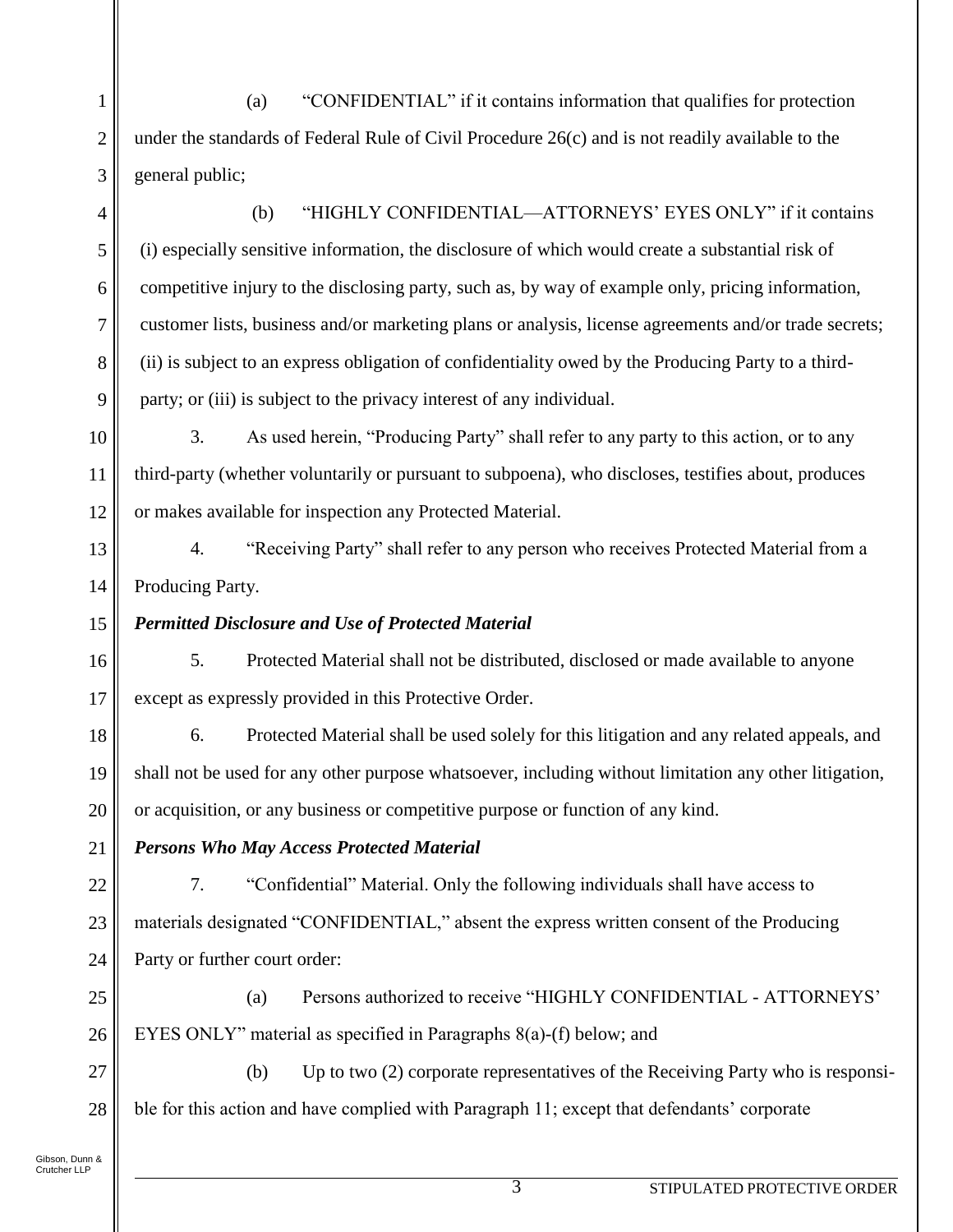(a) "CONFIDENTIAL" if it contains information that qualifies for protection under the standards of Federal Rule of Civil Procedure 26(c) and is not readily available to the general public;

(b) "HIGHLY CONFIDENTIAL—ATTORNEYS' EYES ONLY" if it contains (i) especially sensitive information, the disclosure of which would create a substantial risk of competitive injury to the disclosing party, such as, by way of example only, pricing information, customer lists, business and/or marketing plans or analysis, license agreements and/or trade secrets; (ii) is subject to an express obligation of confidentiality owed by the Producing Party to a third-

9 11 party; or (iii) is subject to the privacy interest of any individual. 3. As used herein, "Producing Party" shall refer to any party to this action, or to any third-party (whether voluntarily or pursuant to subpoena), who discloses, testifies about, produces

or makes available for inspection any Protected Material.

4. "Receiving Party" shall refer to any person who receives Protected Material from a Producing Party.

# *Permitted Disclosure and Use of Protected Material*

5. Protected Material shall not be distributed, disclosed or made available to anyone except as expressly provided in this Protective Order.

18 19 20 6. Protected Material shall be used solely for this litigation and any related appeals, and shall not be used for any other purpose whatsoever, including without limitation any other litigation, or acquisition, or any business or competitive purpose or function of any kind.

21 *Persons Who May Access Protected Material*

22 23 24 7. "Confidential" Material. Only the following individuals shall have access to materials designated "CONFIDENTIAL," absent the express written consent of the Producing Party or further court order:

25 26 (a) Persons authorized to receive "HIGHLY CONFIDENTIAL - ATTORNEYS' EYES ONLY" material as specified in Paragraphs 8(a)-(f) below; and

27 28 (b) Up to two (2) corporate representatives of the Receiving Party who is responsible for this action and have complied with Paragraph 11; except that defendants' corporate

Gibson, Dunn & Crutcher LLP

1

2

3

4

5

6

7

8

10

12

13

14

15

16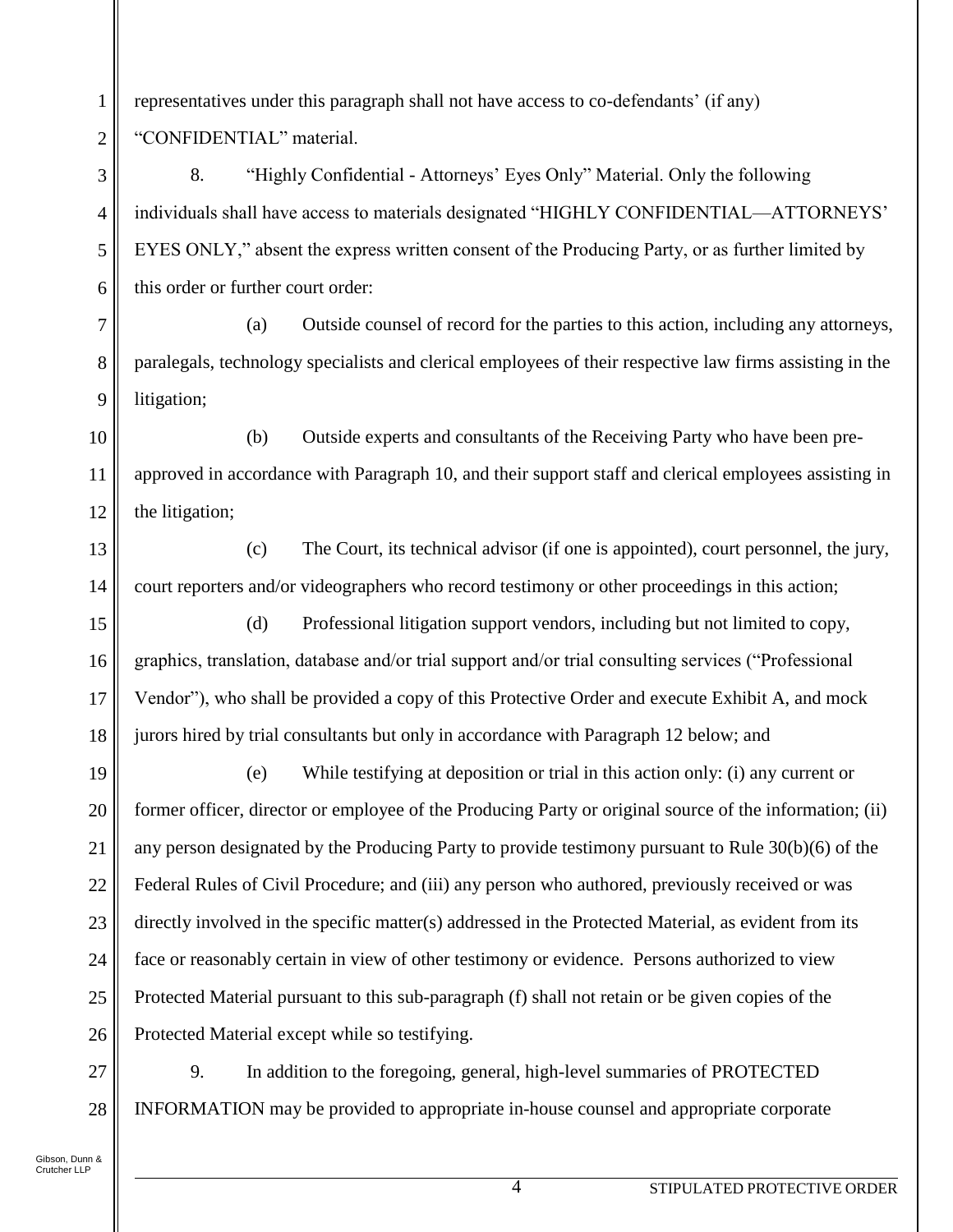representatives under this paragraph shall not have access to co-defendants' (if any) "CONFIDENTIAL" material.

8. "Highly Confidential - Attorneys' Eyes Only" Material. Only the following individuals shall have access to materials designated "HIGHLY CONFIDENTIAL—ATTORNEYS' EYES ONLY," absent the express written consent of the Producing Party, or as further limited by this order or further court order:

(a) Outside counsel of record for the parties to this action, including any attorneys, paralegals, technology specialists and clerical employees of their respective law firms assisting in the litigation;

10 11 12 (b) Outside experts and consultants of the Receiving Party who have been preapproved in accordance with Paragraph 10, and their support staff and clerical employees assisting in the litigation;

(c) The Court, its technical advisor (if one is appointed), court personnel, the jury, court reporters and/or videographers who record testimony or other proceedings in this action;

15 16 18 (d) Professional litigation support vendors, including but not limited to copy, graphics, translation, database and/or trial support and/or trial consulting services ("Professional Vendor"), who shall be provided a copy of this Protective Order and execute Exhibit A, and mock jurors hired by trial consultants but only in accordance with Paragraph 12 below; and

19 20 21 22 23 24 25 26 (e) While testifying at deposition or trial in this action only: (i) any current or former officer, director or employee of the Producing Party or original source of the information; (ii) any person designated by the Producing Party to provide testimony pursuant to Rule 30(b)(6) of the Federal Rules of Civil Procedure; and (iii) any person who authored, previously received or was directly involved in the specific matter(s) addressed in the Protected Material, as evident from its face or reasonably certain in view of other testimony or evidence. Persons authorized to view Protected Material pursuant to this sub-paragraph (f) shall not retain or be given copies of the Protected Material except while so testifying.

27 28 9. In addition to the foregoing, general, high-level summaries of PROTECTED INFORMATION may be provided to appropriate in-house counsel and appropriate corporate

Gibson, Dunn & Crutcher LLP

1

2

3

4

5

6

7

8

9

13

14

17

4 STIPULATED PROTECTIVE ORDER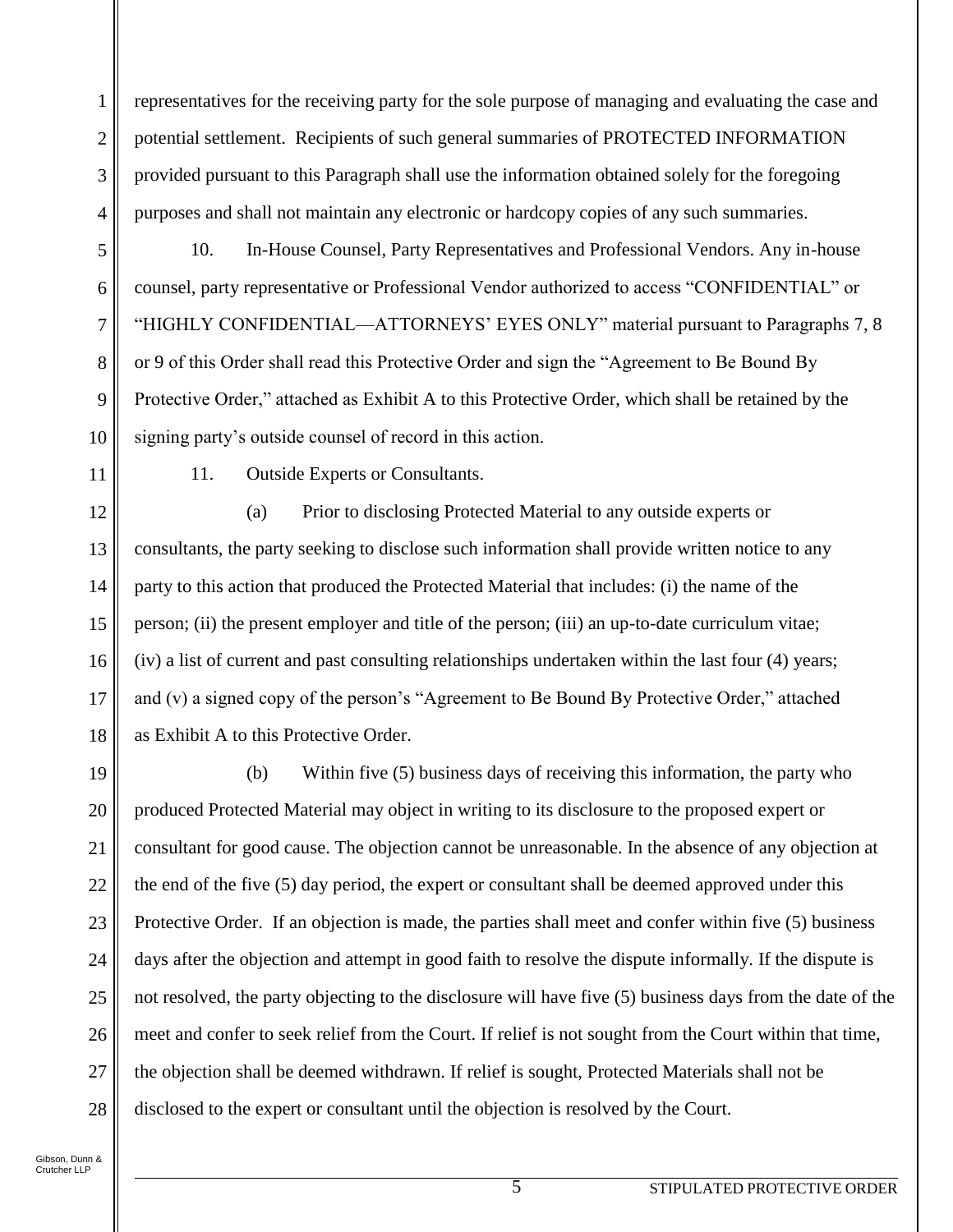representatives for the receiving party for the sole purpose of managing and evaluating the case and potential settlement. Recipients of such general summaries of PROTECTED INFORMATION provided pursuant to this Paragraph shall use the information obtained solely for the foregoing purposes and shall not maintain any electronic or hardcopy copies of any such summaries.

5 6

1

2

3

4

7

8

9

10

10. In-House Counsel, Party Representatives and Professional Vendors. Any in-house counsel, party representative or Professional Vendor authorized to access "CONFIDENTIAL" or "HIGHLY CONFIDENTIAL—ATTORNEYS' EYES ONLY" material pursuant to Paragraphs 7, 8 or 9 of this Order shall read this Protective Order and sign the "Agreement to Be Bound By Protective Order," attached as Exhibit A to this Protective Order, which shall be retained by the signing party's outside counsel of record in this action.

11 12 11. Outside Experts or Consultants.

13 14 15 16 17 18 (a) Prior to disclosing Protected Material to any outside experts or consultants, the party seeking to disclose such information shall provide written notice to any party to this action that produced the Protected Material that includes: (i) the name of the person; (ii) the present employer and title of the person; (iii) an up-to-date curriculum vitae; (iv) a list of current and past consulting relationships undertaken within the last four (4) years; and (v) a signed copy of the person's "Agreement to Be Bound By Protective Order," attached as Exhibit A to this Protective Order.

19 20 21 22 23 24 25 26 27 28 (b) Within five (5) business days of receiving this information, the party who produced Protected Material may object in writing to its disclosure to the proposed expert or consultant for good cause. The objection cannot be unreasonable. In the absence of any objection at the end of the five (5) day period, the expert or consultant shall be deemed approved under this Protective Order. If an objection is made, the parties shall meet and confer within five (5) business days after the objection and attempt in good faith to resolve the dispute informally. If the dispute is not resolved, the party objecting to the disclosure will have five (5) business days from the date of the meet and confer to seek relief from the Court. If relief is not sought from the Court within that time, the objection shall be deemed withdrawn. If relief is sought, Protected Materials shall not be disclosed to the expert or consultant until the objection is resolved by the Court.

Gibson, Dunn & Crutcher LLP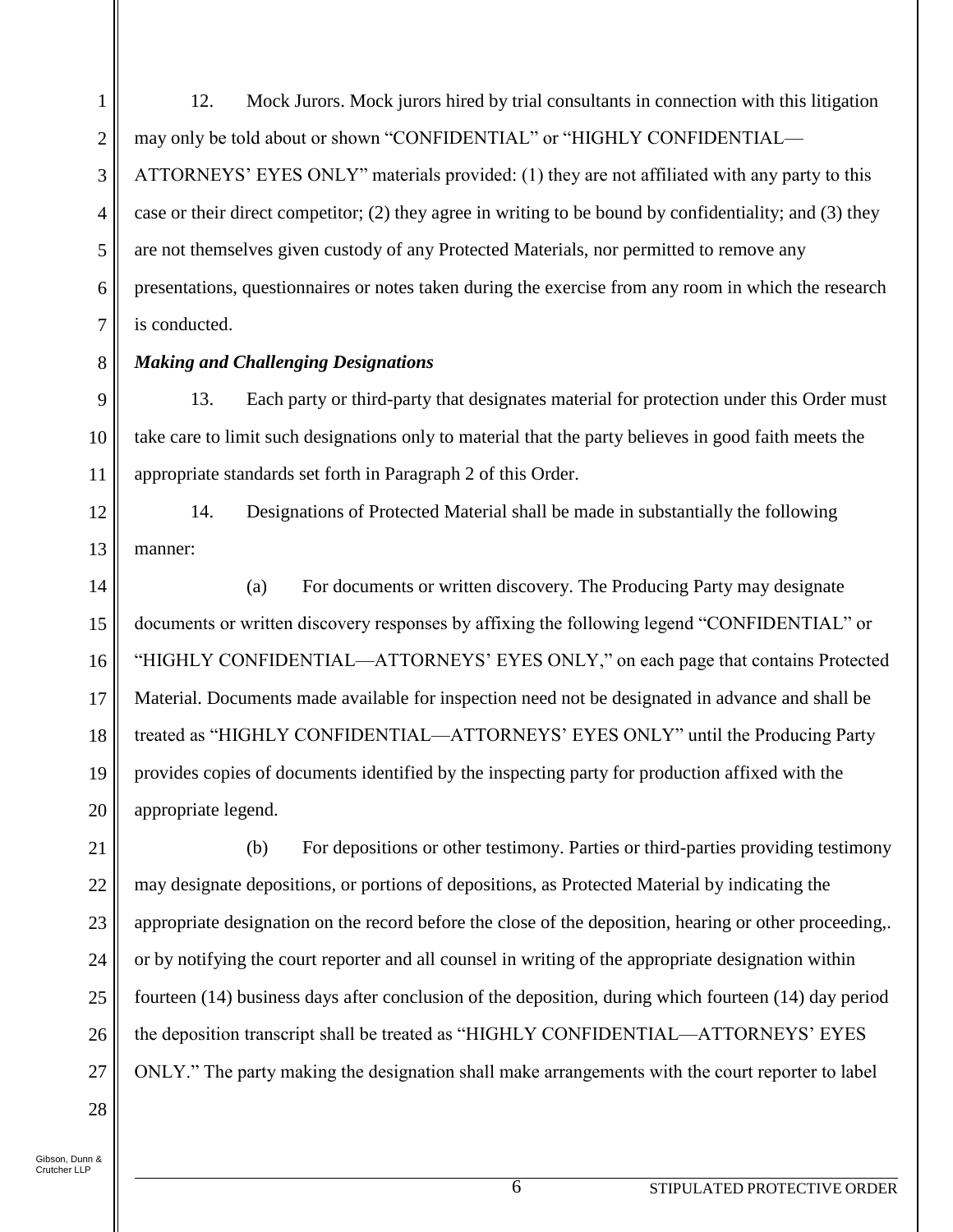1 2 3 4 5 6 7 12. Mock Jurors. Mock jurors hired by trial consultants in connection with this litigation may only be told about or shown "CONFIDENTIAL" or "HIGHLY CONFIDENTIAL— ATTORNEYS' EYES ONLY" materials provided: (1) they are not affiliated with any party to this case or their direct competitor; (2) they agree in writing to be bound by confidentiality; and (3) they are not themselves given custody of any Protected Materials, nor permitted to remove any presentations, questionnaires or notes taken during the exercise from any room in which the research is conducted.

#### 8 *Making and Challenging Designations*

9 10 11 13. Each party or third-party that designates material for protection under this Order must take care to limit such designations only to material that the party believes in good faith meets the appropriate standards set forth in Paragraph 2 of this Order.

12 13 14. Designations of Protected Material shall be made in substantially the following manner:

14 15 16 17 18 19 20 (a) For documents or written discovery. The Producing Party may designate documents or written discovery responses by affixing the following legend "CONFIDENTIAL" or "HIGHLY CONFIDENTIAL—ATTORNEYS' EYES ONLY," on each page that contains Protected Material. Documents made available for inspection need not be designated in advance and shall be treated as "HIGHLY CONFIDENTIAL—ATTORNEYS' EYES ONLY" until the Producing Party provides copies of documents identified by the inspecting party for production affixed with the appropriate legend.

21 22 23 24 25 26 27 (b) For depositions or other testimony. Parties or third-parties providing testimony may designate depositions, or portions of depositions, as Protected Material by indicating the appropriate designation on the record before the close of the deposition, hearing or other proceeding,. or by notifying the court reporter and all counsel in writing of the appropriate designation within fourteen (14) business days after conclusion of the deposition, during which fourteen (14) day period the deposition transcript shall be treated as "HIGHLY CONFIDENTIAL—ATTORNEYS' EYES ONLY." The party making the designation shall make arrangements with the court reporter to label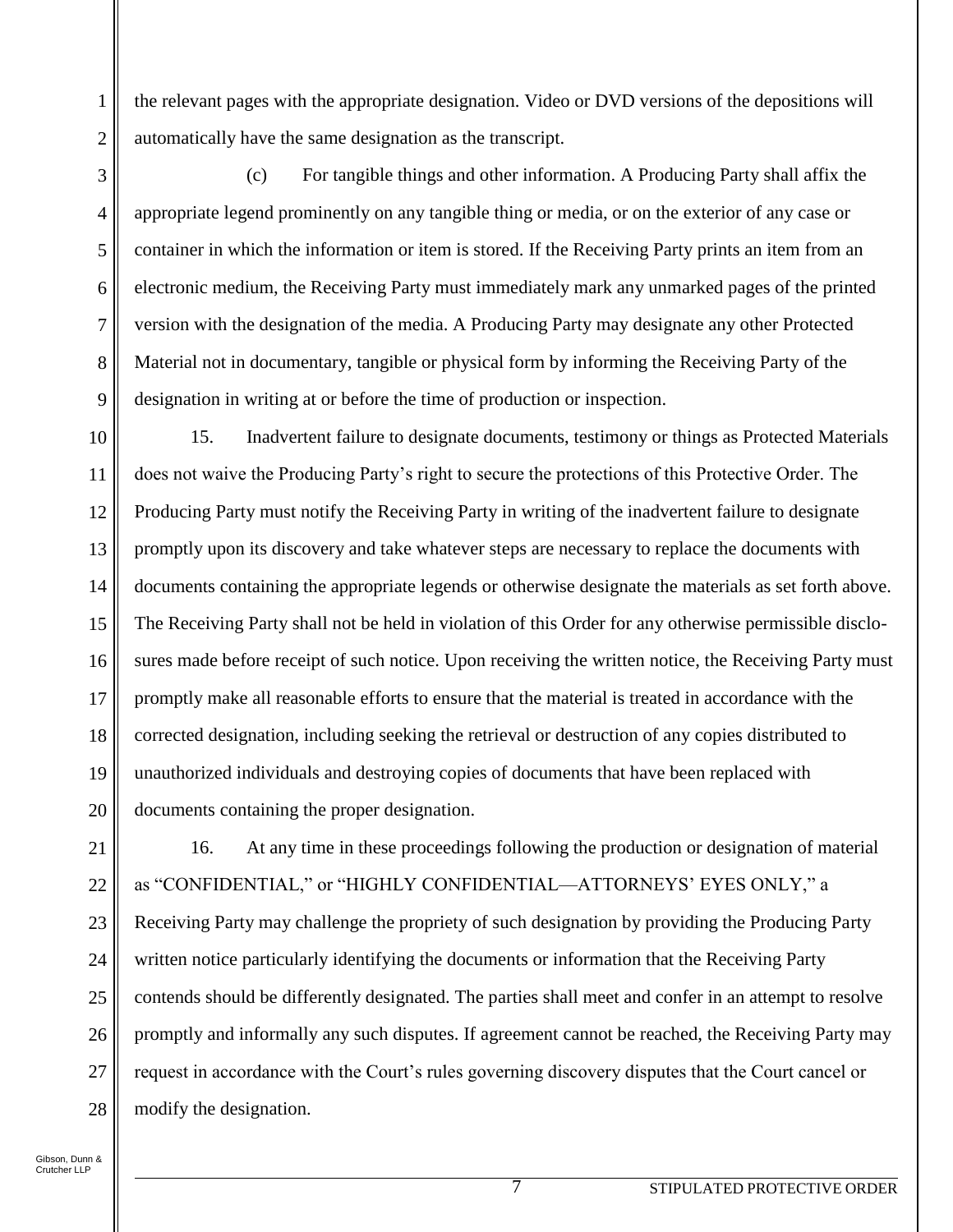2 the relevant pages with the appropriate designation. Video or DVD versions of the depositions will automatically have the same designation as the transcript.

8 9 (c) For tangible things and other information. A Producing Party shall affix the appropriate legend prominently on any tangible thing or media, or on the exterior of any case or container in which the information or item is stored. If the Receiving Party prints an item from an electronic medium, the Receiving Party must immediately mark any unmarked pages of the printed version with the designation of the media. A Producing Party may designate any other Protected Material not in documentary, tangible or physical form by informing the Receiving Party of the designation in writing at or before the time of production or inspection.

10 11 12 13 14 15 16 17 18 19 20 15. Inadvertent failure to designate documents, testimony or things as Protected Materials does not waive the Producing Party's right to secure the protections of this Protective Order. The Producing Party must notify the Receiving Party in writing of the inadvertent failure to designate promptly upon its discovery and take whatever steps are necessary to replace the documents with documents containing the appropriate legends or otherwise designate the materials as set forth above. The Receiving Party shall not be held in violation of this Order for any otherwise permissible disclosures made before receipt of such notice. Upon receiving the written notice, the Receiving Party must promptly make all reasonable efforts to ensure that the material is treated in accordance with the corrected designation, including seeking the retrieval or destruction of any copies distributed to unauthorized individuals and destroying copies of documents that have been replaced with documents containing the proper designation.

21 22 23 24 25 26 27 28 16. At any time in these proceedings following the production or designation of material as "CONFIDENTIAL," or "HIGHLY CONFIDENTIAL—ATTORNEYS' EYES ONLY," a Receiving Party may challenge the propriety of such designation by providing the Producing Party written notice particularly identifying the documents or information that the Receiving Party contends should be differently designated. The parties shall meet and confer in an attempt to resolve promptly and informally any such disputes. If agreement cannot be reached, the Receiving Party may request in accordance with the Court's rules governing discovery disputes that the Court cancel or modify the designation.

1

3

4

5

6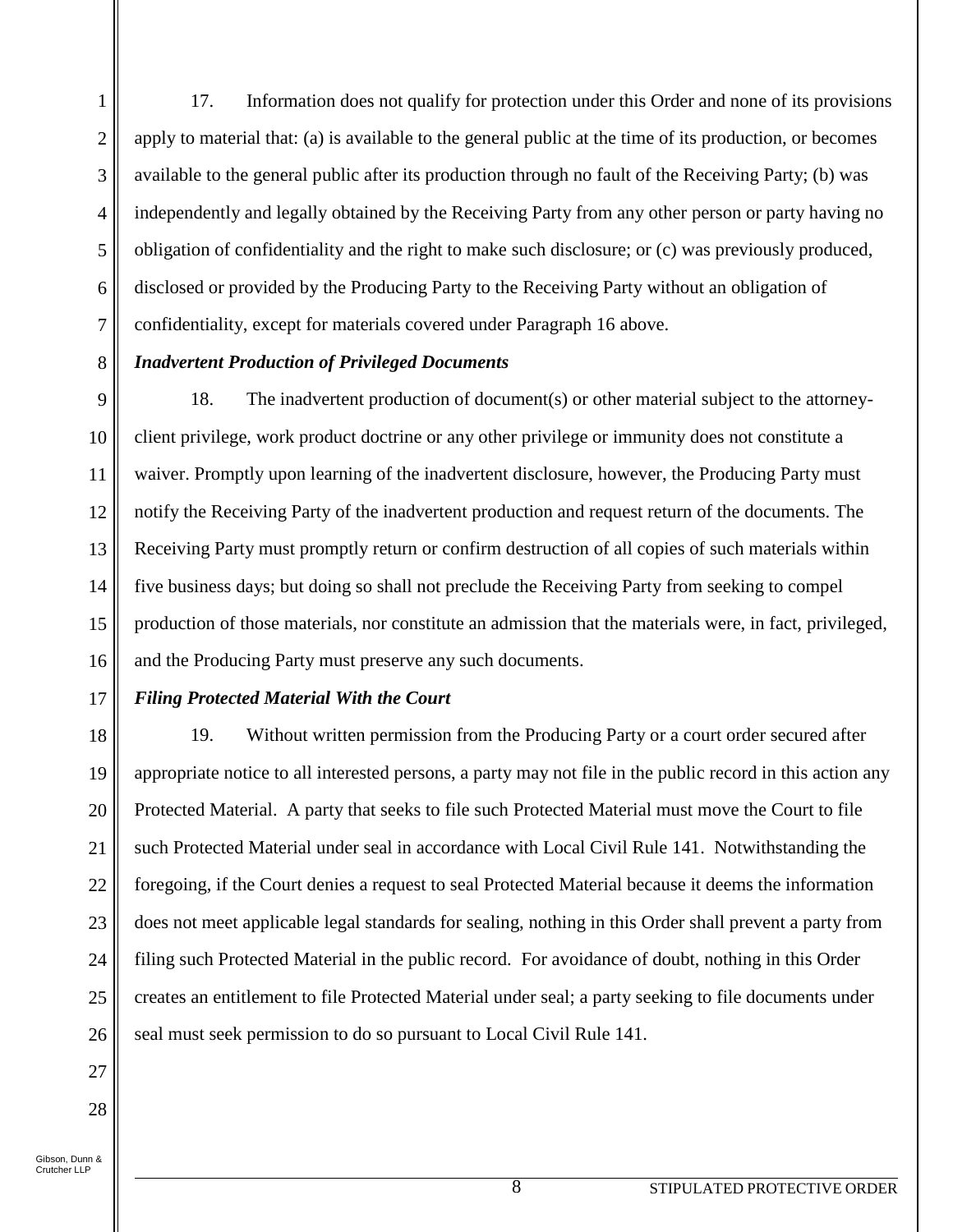1 2 3 4 5 6 7 17. Information does not qualify for protection under this Order and none of its provisions apply to material that: (a) is available to the general public at the time of its production, or becomes available to the general public after its production through no fault of the Receiving Party; (b) was independently and legally obtained by the Receiving Party from any other person or party having no obligation of confidentiality and the right to make such disclosure; or (c) was previously produced, disclosed or provided by the Producing Party to the Receiving Party without an obligation of confidentiality, except for materials covered under Paragraph 16 above.

## *Inadvertent Production of Privileged Documents*

9 10 11 12 13 14 15 16 18. The inadvertent production of document(s) or other material subject to the attorneyclient privilege, work product doctrine or any other privilege or immunity does not constitute a waiver. Promptly upon learning of the inadvertent disclosure, however, the Producing Party must notify the Receiving Party of the inadvertent production and request return of the documents. The Receiving Party must promptly return or confirm destruction of all copies of such materials within five business days; but doing so shall not preclude the Receiving Party from seeking to compel production of those materials, nor constitute an admission that the materials were, in fact, privileged, and the Producing Party must preserve any such documents.

## 17

8

### *Filing Protected Material With the Court*

18 19 20 21 22 23 24 25 26 19. Without written permission from the Producing Party or a court order secured after appropriate notice to all interested persons, a party may not file in the public record in this action any Protected Material. A party that seeks to file such Protected Material must move the Court to file such Protected Material under seal in accordance with Local Civil Rule 141. Notwithstanding the foregoing, if the Court denies a request to seal Protected Material because it deems the information does not meet applicable legal standards for sealing, nothing in this Order shall prevent a party from filing such Protected Material in the public record. For avoidance of doubt, nothing in this Order creates an entitlement to file Protected Material under seal; a party seeking to file documents under seal must seek permission to do so pursuant to Local Civil Rule 141.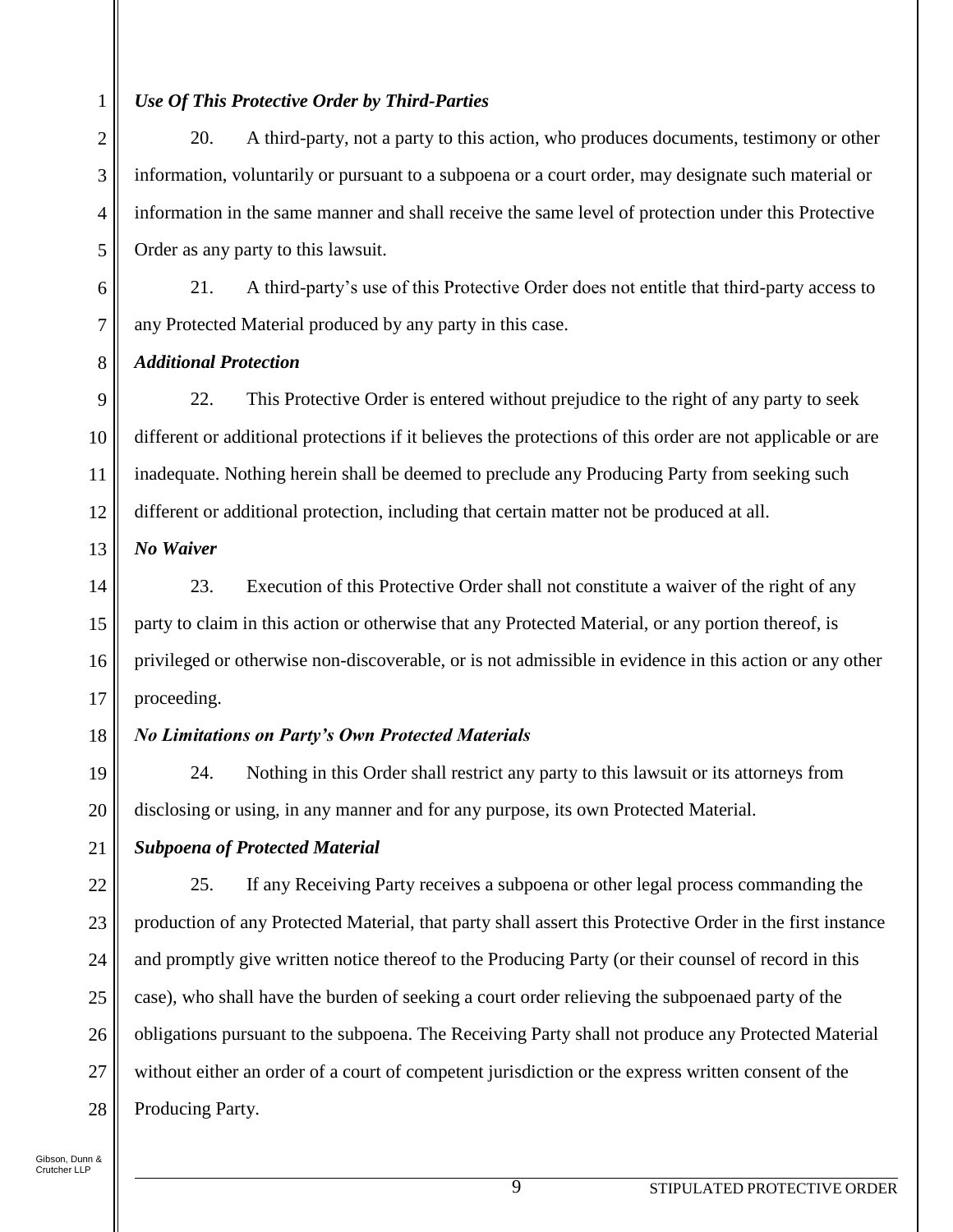## *Use Of This Protective Order by Third-Parties*

20. A third-party, not a party to this action, who produces documents, testimony or other information, voluntarily or pursuant to a subpoena or a court order, may designate such material or information in the same manner and shall receive the same level of protection under this Protective Order as any party to this lawsuit.

21. A third-party's use of this Protective Order does not entitle that third-party access to any Protected Material produced by any party in this case.

*Additional Protection*

9 10 11 12 22. This Protective Order is entered without prejudice to the right of any party to seek different or additional protections if it believes the protections of this order are not applicable or are inadequate. Nothing herein shall be deemed to preclude any Producing Party from seeking such different or additional protection, including that certain matter not be produced at all.

13 *No Waiver*

14 15 16 17 23. Execution of this Protective Order shall not constitute a waiver of the right of any party to claim in this action or otherwise that any Protected Material, or any portion thereof, is privileged or otherwise non-discoverable, or is not admissible in evidence in this action or any other proceeding.

#### 18 *No Limitations on Party's Own Protected Materials*

24. Nothing in this Order shall restrict any party to this lawsuit or its attorneys from disclosing or using, in any manner and for any purpose, its own Protected Material.

21 *Subpoena of Protected Material*

22 23 24 25 26 27 28 25. If any Receiving Party receives a subpoena or other legal process commanding the production of any Protected Material, that party shall assert this Protective Order in the first instance and promptly give written notice thereof to the Producing Party (or their counsel of record in this case), who shall have the burden of seeking a court order relieving the subpoenaed party of the obligations pursuant to the subpoena. The Receiving Party shall not produce any Protected Material without either an order of a court of competent jurisdiction or the express written consent of the Producing Party.

1

2

3

4

5

6

7

8

19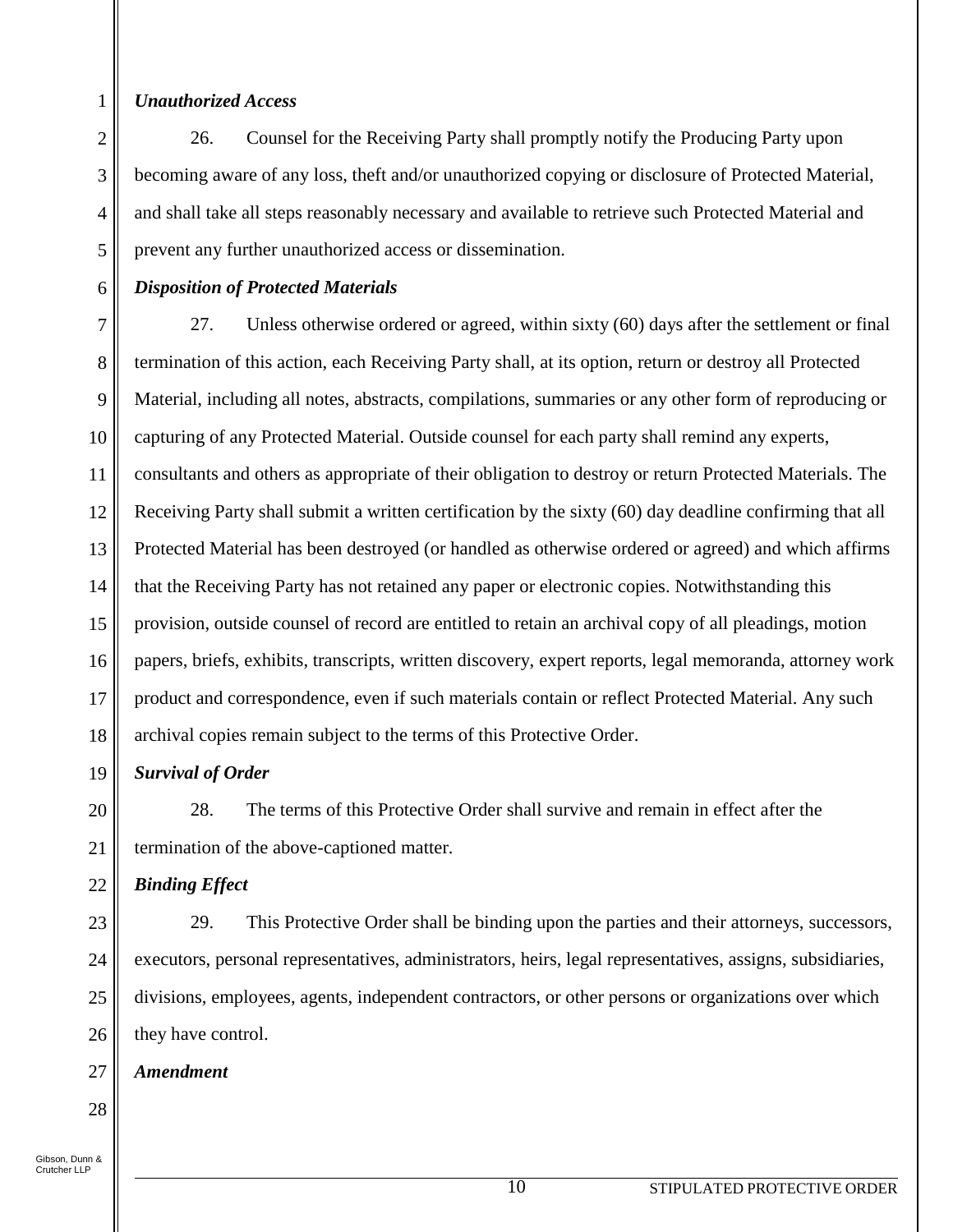1

2

3

4

5

6

### *Unauthorized Access*

26. Counsel for the Receiving Party shall promptly notify the Producing Party upon becoming aware of any loss, theft and/or unauthorized copying or disclosure of Protected Material, and shall take all steps reasonably necessary and available to retrieve such Protected Material and prevent any further unauthorized access or dissemination.

### *Disposition of Protected Materials*

7 8 9 10 11 12 13 14 15 16 17 18 27. Unless otherwise ordered or agreed, within sixty (60) days after the settlement or final termination of this action, each Receiving Party shall, at its option, return or destroy all Protected Material, including all notes, abstracts, compilations, summaries or any other form of reproducing or capturing of any Protected Material. Outside counsel for each party shall remind any experts, consultants and others as appropriate of their obligation to destroy or return Protected Materials. The Receiving Party shall submit a written certification by the sixty (60) day deadline confirming that all Protected Material has been destroyed (or handled as otherwise ordered or agreed) and which affirms that the Receiving Party has not retained any paper or electronic copies. Notwithstanding this provision, outside counsel of record are entitled to retain an archival copy of all pleadings, motion papers, briefs, exhibits, transcripts, written discovery, expert reports, legal memoranda, attorney work product and correspondence, even if such materials contain or reflect Protected Material. Any such archival copies remain subject to the terms of this Protective Order.

19

# *Survival of Order*

20 21 28. The terms of this Protective Order shall survive and remain in effect after the termination of the above-captioned matter.

#### 22 *Binding Effect*

23 24 25 26 29. This Protective Order shall be binding upon the parties and their attorneys, successors, executors, personal representatives, administrators, heirs, legal representatives, assigns, subsidiaries, divisions, employees, agents, independent contractors, or other persons or organizations over which they have control.

#### 27 *Amendment*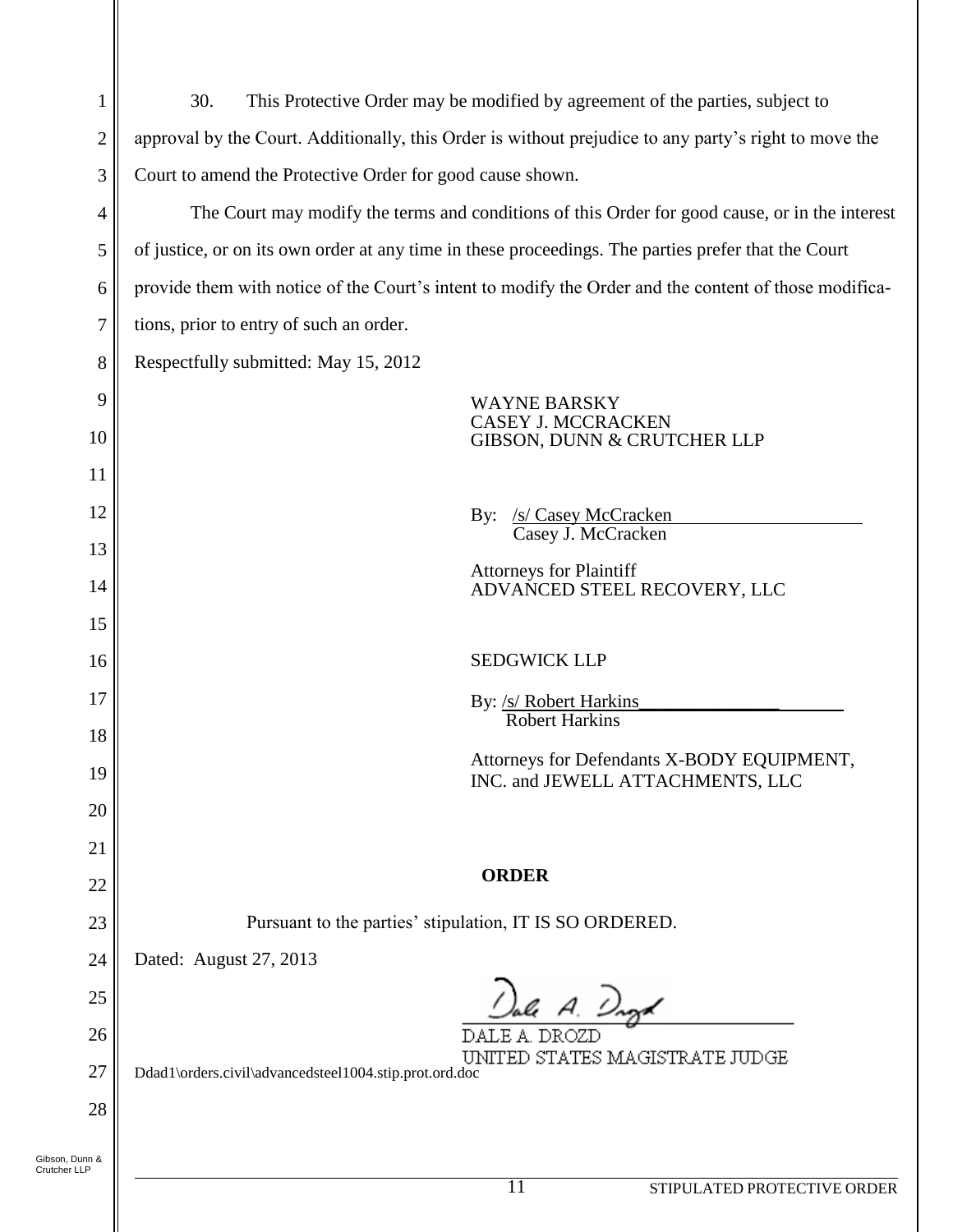| 1                              | This Protective Order may be modified by agreement of the parties, subject to<br>30.                  |
|--------------------------------|-------------------------------------------------------------------------------------------------------|
| $\overline{2}$                 | approval by the Court. Additionally, this Order is without prejudice to any party's right to move the |
| 3                              | Court to amend the Protective Order for good cause shown.                                             |
| 4                              | The Court may modify the terms and conditions of this Order for good cause, or in the interest        |
| 5                              | of justice, or on its own order at any time in these proceedings. The parties prefer that the Court   |
| 6                              | provide them with notice of the Court's intent to modify the Order and the content of those modifica- |
| 7                              | tions, prior to entry of such an order.                                                               |
| 8                              | Respectfully submitted: May 15, 2012                                                                  |
| 9                              | <b>WAYNE BARSKY</b>                                                                                   |
| 10                             | <b>CASEY J. MCCRACKEN</b><br>GIBSON, DUNN & CRUTCHER LLP                                              |
| 11                             |                                                                                                       |
| 12                             | <u>/s/ Casey McCracken</u><br>$\mathbf{By:}$                                                          |
| 13                             | Casey J. McCracken                                                                                    |
| 14                             | <b>Attorneys for Plaintiff</b><br>ADVANCED STEEL RECOVERY, LLC                                        |
| 15                             |                                                                                                       |
| 16                             | <b>SEDGWICK LLP</b>                                                                                   |
| 17                             | By: /s/ Robert Harkins                                                                                |
| 18                             | <b>Robert Harkins</b>                                                                                 |
| 19                             | Attorneys for Defendants X-BODY EQUIPMENT,<br>INC. and JEWELL ATTACHMENTS, LLC                        |
| 20                             |                                                                                                       |
| 21                             |                                                                                                       |
| 22                             | <b>ORDER</b>                                                                                          |
| 23                             | Pursuant to the parties' stipulation, IT IS SO ORDERED.                                               |
| 24                             | Dated: August 27, 2013                                                                                |
| 25                             | Jale A. Daga                                                                                          |
| 26                             | DALE A. DROZD<br>UNITED STATES MAGISTRATE JUDGE                                                       |
| 27                             | Ddad1\orders.civil\advancedsteel1004.stip.prot.ord.doc                                                |
| 28                             |                                                                                                       |
| Gibson, Dunn &<br>Crutcher LLP |                                                                                                       |
|                                | 11<br>STIPULATED PROTECTIVE ORDER                                                                     |